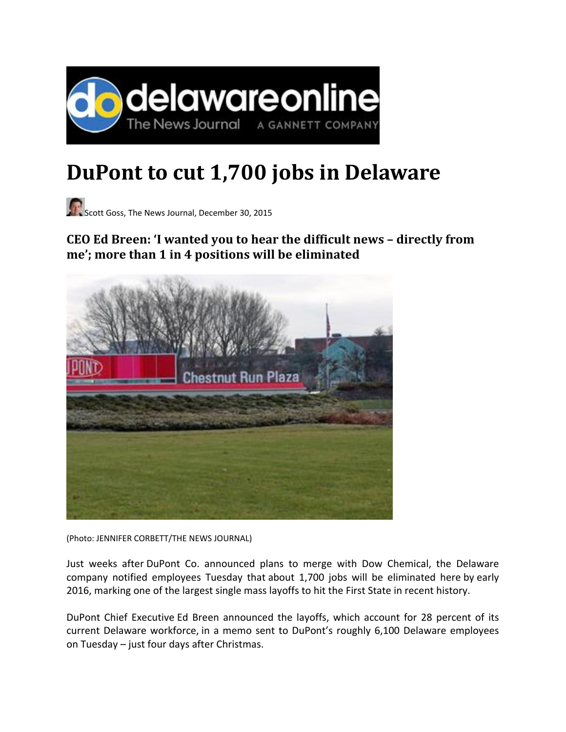

## **DuPont to cut 1,700 jobs in Delaware**

Scott Goss, The News Journal, December 30, 2015

## **CEO Ed Breen: 'I wanted you to hear the difficult news – directly from me'; more than 1 in 4 positions will be eliminated**



(Photo: JENNIFER CORBETT/THE NEWS JOURNAL)

Just weeks after DuPont Co. announced plans to merge with Dow Chemical, the Delaware company notified employees Tuesday that about 1,700 jobs will be eliminated here by early 2016, marking one of the largest single mass layoffs to hit the First State in recent history.

DuPont Chief Executive Ed Breen announced the layoffs, which account for 28 percent of its current Delaware workforce, in a memo sent to DuPont's roughly 6,100 Delaware employees on Tuesday – just four days after Christmas.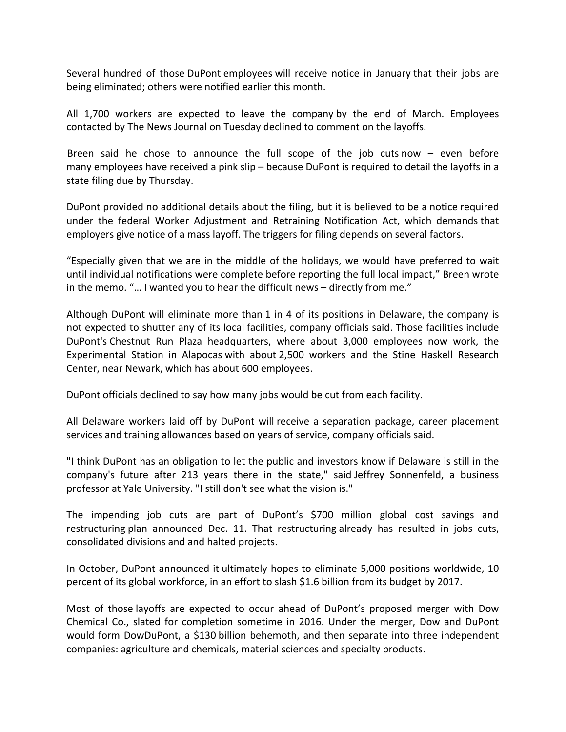Several hundred of those DuPont employees will receive notice in January that their jobs are being eliminated; others were notified earlier this month.

All 1,700 workers are expected to leave the company by the end of March. Employees contacted by The News Journal on Tuesday declined to comment on the layoffs.

Breen said he chose to announce the full scope of the job cuts now – even before many employees have received a pink slip – because DuPont is required to detail the layoffs in a state filing due by Thursday.

DuPont provided no additional details about the filing, but it is believed to be a notice required under the federal Worker Adjustment and Retraining Notification Act, which demands that employers give notice of a mass layoff. The triggers for filing depends on several factors.

"Especially given that we are in the middle of the holidays, we would have preferred to wait until individual notifications were complete before reporting the full local impact," Breen wrote in the memo. "… I wanted you to hear the difficult news – directly from me."

Although DuPont will eliminate more than 1 in 4 of its positions in Delaware, the company is not expected to shutter any of its local facilities, company officials said. Those facilities include DuPont's Chestnut Run Plaza headquarters, where about 3,000 employees now work, the Experimental Station in Alapocas with about 2,500 workers and the Stine Haskell Research Center, near Newark, which has about 600 employees.

DuPont officials declined to say how many jobs would be cut from each facility.

All Delaware workers laid off by DuPont will receive a separation package, career placement services and training allowances based on years of service, company officials said.

"I think DuPont has an obligation to let the public and investors know if Delaware is still in the company's future after 213 years there in the state," said Jeffrey Sonnenfeld, a business professor at Yale University. "I still don't see what the vision is."

The impending job cuts are part of DuPont's \$700 million global cost savings and restructuring plan announced Dec. 11. That restructuring already has resulted in jobs cuts, consolidated divisions and and halted projects.

In October, DuPont announced it ultimately hopes to eliminate 5,000 positions worldwide, 10 percent of its global workforce, in an effort to slash \$1.6 billion from its budget by 2017.

Most of those layoffs are expected to occur ahead of DuPont's proposed merger with Dow Chemical Co., slated for completion sometime in 2016. Under the merger, Dow and DuPont would form DowDuPont, a \$130 billion behemoth, and then separate into three independent companies: agriculture and chemicals, material sciences and specialty products.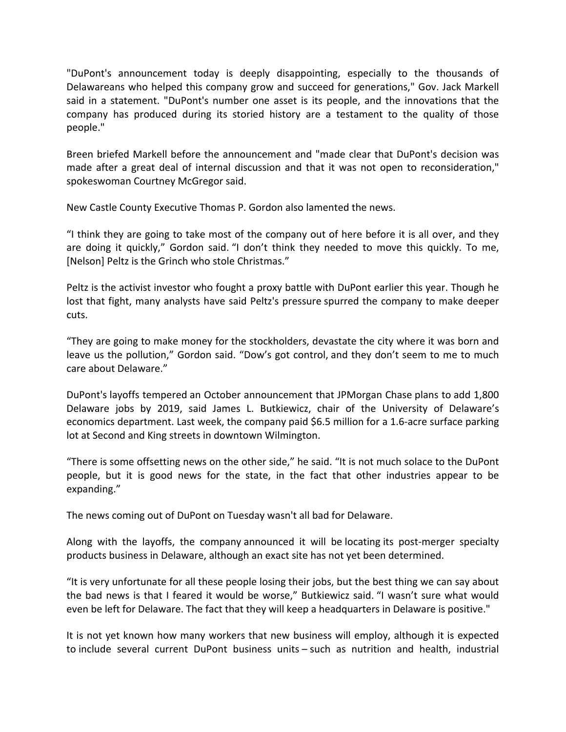"DuPont's announcement today is deeply disappointing, especially to the thousands of Delawareans who helped this company grow and succeed for generations," Gov. Jack Markell said in a statement. "DuPont's number one asset is its people, and the innovations that the company has produced during its storied history are a testament to the quality of those people."

Breen briefed Markell before the announcement and "made clear that DuPont's decision was made after a great deal of internal discussion and that it was not open to reconsideration," spokeswoman Courtney McGregor said.

New Castle County Executive Thomas P. Gordon also lamented the news.

"I think they are going to take most of the company out of here before it is all over, and they are doing it quickly," Gordon said. "I don't think they needed to move this quickly. To me, [Nelson] Peltz is the Grinch who stole Christmas."

Peltz is the activist investor who fought a proxy battle with DuPont earlier this year. Though he lost that fight, many analysts have said Peltz's pressure spurred the company to make deeper cuts.

"They are going to make money for the stockholders, devastate the city where it was born and leave us the pollution," Gordon said. "Dow's got control, and they don't seem to me to much care about Delaware."

DuPont's layoffs tempered an October announcement that JPMorgan Chase plans to add 1,800 Delaware jobs by 2019, said James L. Butkiewicz, chair of the University of Delaware's economics department. Last week, the company paid \$6.5 million for a 1.6‐acre surface parking lot at Second and King streets in downtown Wilmington.

"There is some offsetting news on the other side," he said. "It is not much solace to the DuPont people, but it is good news for the state, in the fact that other industries appear to be expanding."

The news coming out of DuPont on Tuesday wasn't all bad for Delaware.

Along with the layoffs, the company announced it will be locating its post-merger specialty products business in Delaware, although an exact site has not yet been determined.

"It is very unfortunate for all these people losing their jobs, but the best thing we can say about the bad news is that I feared it would be worse," Butkiewicz said. "I wasn't sure what would even be left for Delaware. The fact that they will keep a headquarters in Delaware is positive."

It is not yet known how many workers that new business will employ, although it is expected to include several current DuPont business units – such as nutrition and health, industrial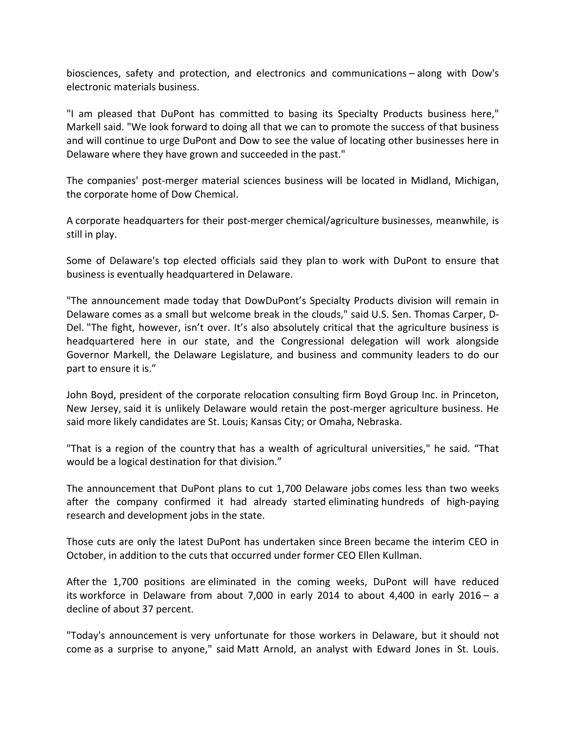biosciences, safety and protection, and electronics and communications – along with Dow's electronic materials business.

"I am pleased that DuPont has committed to basing its Specialty Products business here," Markell said. "We look forward to doing all that we can to promote the success of that business and will continue to urge DuPont and Dow to see the value of locating other businesses here in Delaware where they have grown and succeeded in the past."

The companies' post-merger material sciences business will be located in Midland, Michigan, the corporate home of Dow Chemical.

A corporate headquarters for their post-merger chemical/agriculture businesses, meanwhile, is still in play.

Some of Delaware's top elected officials said they plan to work with DuPont to ensure that business is eventually headquartered in Delaware.

"The announcement made today that DowDuPont's Specialty Products division will remain in Delaware comes as a small but welcome break in the clouds," said U.S. Sen. Thomas Carper, D‐ Del. "The fight, however, isn't over. It's also absolutely critical that the agriculture business is headquartered here in our state, and the Congressional delegation will work alongside Governor Markell, the Delaware Legislature, and business and community leaders to do our part to ensure it is."

John Boyd, president of the corporate relocation consulting firm Boyd Group Inc. in Princeton, New Jersey, said it is unlikely Delaware would retain the post‐merger agriculture business. He said more likely candidates are St. Louis; Kansas City; or Omaha, Nebraska.

"That is a region of the country that has a wealth of agricultural universities," he said. "That would be a logical destination for that division."

The announcement that DuPont plans to cut 1,700 Delaware jobs comes less than two weeks after the company confirmed it had already started eliminating hundreds of high‐paying research and development jobs in the state.

Those cuts are only the latest DuPont has undertaken since Breen became the interim CEO in October, in addition to the cuts that occurred under former CEO Ellen Kullman.

After the 1,700 positions are eliminated in the coming weeks, DuPont will have reduced its workforce in Delaware from about 7,000 in early 2014 to about 4,400 in early 2016 – a decline of about 37 percent.

"Today's announcement is very unfortunate for those workers in Delaware, but it should not come as a surprise to anyone," said Matt Arnold, an analyst with Edward Jones in St. Louis.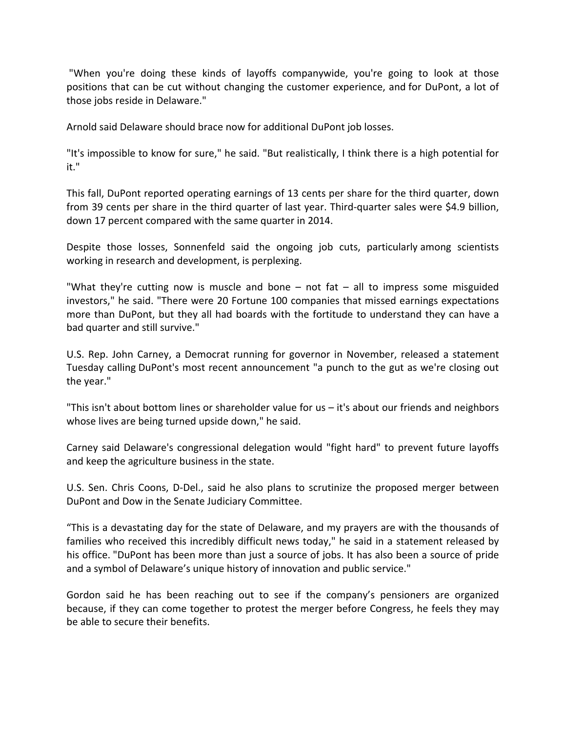"When you're doing these kinds of layoffs companywide, you're going to look at those positions that can be cut without changing the customer experience, and for DuPont, a lot of those jobs reside in Delaware."

Arnold said Delaware should brace now for additional DuPont job losses.

"It's impossible to know for sure," he said. "But realistically, I think there is a high potential for it."

This fall, DuPont reported operating earnings of 13 cents per share for the third quarter, down from 39 cents per share in the third quarter of last year. Third-quarter sales were \$4.9 billion, down 17 percent compared with the same quarter in 2014.

Despite those losses, Sonnenfeld said the ongoing job cuts, particularly among scientists working in research and development, is perplexing.

"What they're cutting now is muscle and bone  $-$  not fat  $-$  all to impress some misguided investors," he said. "There were 20 Fortune 100 companies that missed earnings expectations more than DuPont, but they all had boards with the fortitude to understand they can have a bad quarter and still survive."

U.S. Rep. John Carney, a Democrat running for governor in November, released a statement Tuesday calling DuPont's most recent announcement "a punch to the gut as we're closing out the year."

"This isn't about bottom lines or shareholder value for us – it's about our friends and neighbors whose lives are being turned upside down," he said.

Carney said Delaware's congressional delegation would "fight hard" to prevent future layoffs and keep the agriculture business in the state.

U.S. Sen. Chris Coons, D‐Del., said he also plans to scrutinize the proposed merger between DuPont and Dow in the Senate Judiciary Committee.

"This is a devastating day for the state of Delaware, and my prayers are with the thousands of families who received this incredibly difficult news today," he said in a statement released by his office. "DuPont has been more than just a source of jobs. It has also been a source of pride and a symbol of Delaware's unique history of innovation and public service."

Gordon said he has been reaching out to see if the company's pensioners are organized because, if they can come together to protest the merger before Congress, he feels they may be able to secure their benefits.